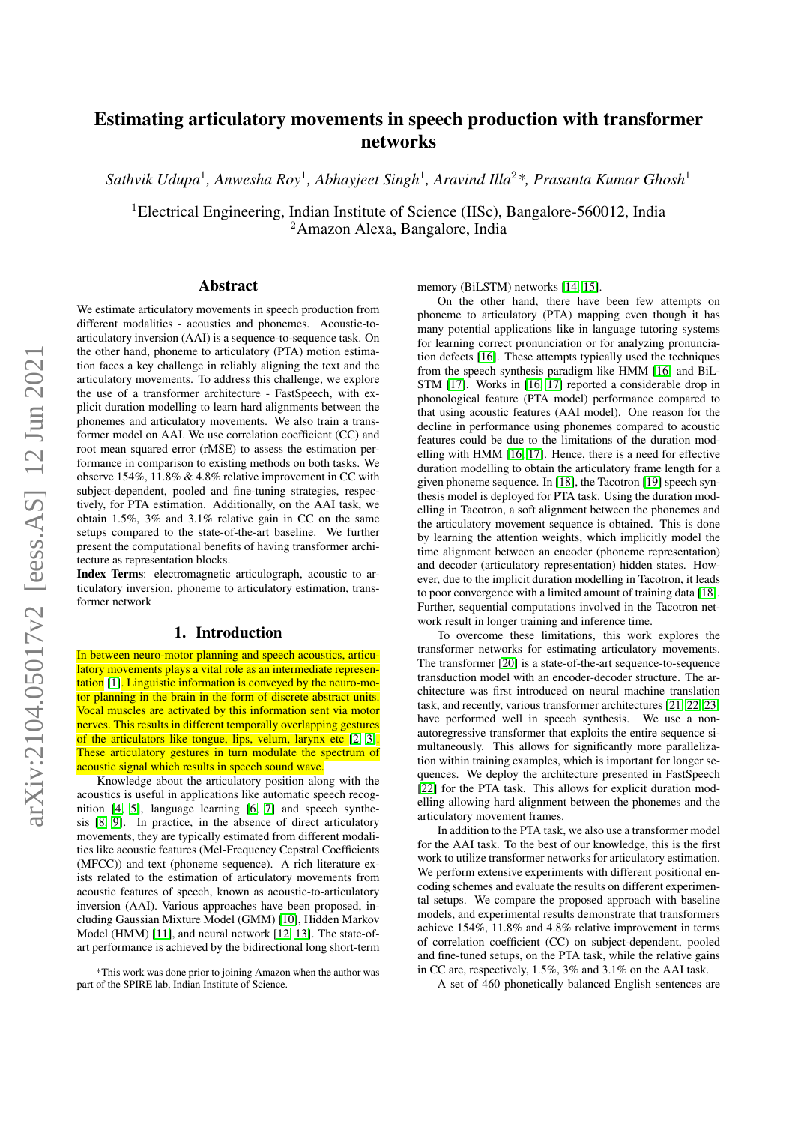# Estimating articulatory movements in speech production with transformer networks

*Sathvik Udupa*<sup>1</sup> *, Anwesha Roy*<sup>1</sup> *, Abhayjeet Singh*<sup>1</sup> *, Aravind Illa*<sup>2</sup>*\*, Prasanta Kumar Ghosh*<sup>1</sup>

<sup>1</sup>Electrical Engineering, Indian Institute of Science (IISc), Bangalore-560012, India <sup>2</sup>Amazon Alexa, Bangalore, India

# Abstract

We estimate articulatory movements in speech production from different modalities - acoustics and phonemes. Acoustic-toarticulatory inversion (AAI) is a sequence-to-sequence task. On the other hand, phoneme to articulatory (PTA) motion estimation faces a key challenge in reliably aligning the text and the articulatory movements. To address this challenge, we explore the use of a transformer architecture - FastSpeech, with explicit duration modelling to learn hard alignments between the phonemes and articulatory movements. We also train a transformer model on AAI. We use correlation coefficient (CC) and root mean squared error (rMSE) to assess the estimation performance in comparison to existing methods on both tasks. We observe 154%,  $11.8\%$  & 4.8% relative improvement in CC with subject-dependent, pooled and fine-tuning strategies, respectively, for PTA estimation. Additionally, on the AAI task, we obtain 1.5%, 3% and 3.1% relative gain in CC on the same setups compared to the state-of-the-art baseline. We further present the computational benefits of having transformer architecture as representation blocks.

Index Terms: electromagnetic articulograph, acoustic to articulatory inversion, phoneme to articulatory estimation, transformer network

# 1. Introduction

In between neuro-motor planning and speech acoustics, articulatory movements plays a vital role as an intermediate representation [\[1\]](#page-5-0). Linguistic information is conveyed by the neuro-motor planning in the brain in the form of discrete abstract units. Vocal muscles are activated by this information sent via motor nerves. This results in different temporally overlapping gestures of the articulators like tongue, lips, velum, larynx etc [\[2,](#page-5-1) [3\]](#page-5-2). These articulatory gestures in turn modulate the spectrum of acoustic signal which results in speech sound wave.

Knowledge about the articulatory position along with the acoustics is useful in applications like automatic speech recognition [\[4,](#page-5-3) [5\]](#page-5-4), language learning [\[6,](#page-5-5) [7\]](#page-5-6) and speech synthesis [\[8,](#page-5-7) [9\]](#page-5-8). In practice, in the absence of direct articulatory movements, they are typically estimated from different modalities like acoustic features (Mel-Frequency Cepstral Coefficients (MFCC)) and text (phoneme sequence). A rich literature exists related to the estimation of articulatory movements from acoustic features of speech, known as acoustic-to-articulatory inversion (AAI). Various approaches have been proposed, including Gaussian Mixture Model (GMM) [\[10\]](#page-5-9), Hidden Markov Model (HMM) [\[11\]](#page-5-10), and neural network [\[12,](#page-5-11) [13\]](#page-5-12). The state-ofart performance is achieved by the bidirectional long short-term memory (BiLSTM) networks [\[14,](#page-5-13) [15\]](#page-5-14).

On the other hand, there have been few attempts on phoneme to articulatory (PTA) mapping even though it has many potential applications like in language tutoring systems for learning correct pronunciation or for analyzing pronunciation defects [\[16\]](#page-5-15). These attempts typically used the techniques from the speech synthesis paradigm like HMM [\[16\]](#page-5-15) and BiL-STM [\[17\]](#page-5-16). Works in [\[16,](#page-5-15) [17\]](#page-5-16) reported a considerable drop in phonological feature (PTA model) performance compared to that using acoustic features (AAI model). One reason for the decline in performance using phonemes compared to acoustic features could be due to the limitations of the duration modelling with HMM [\[16,](#page-5-15) [17\]](#page-5-16). Hence, there is a need for effective duration modelling to obtain the articulatory frame length for a given phoneme sequence. In [\[18\]](#page-5-17), the Tacotron [\[19\]](#page-5-18) speech synthesis model is deployed for PTA task. Using the duration modelling in Tacotron, a soft alignment between the phonemes and the articulatory movement sequence is obtained. This is done by learning the attention weights, which implicitly model the time alignment between an encoder (phoneme representation) and decoder (articulatory representation) hidden states. However, due to the implicit duration modelling in Tacotron, it leads to poor convergence with a limited amount of training data [\[18\]](#page-5-17). Further, sequential computations involved in the Tacotron network result in longer training and inference time.

To overcome these limitations, this work explores the transformer networks for estimating articulatory movements. The transformer [\[20\]](#page-5-19) is a state-of-the-art sequence-to-sequence transduction model with an encoder-decoder structure. The architecture was first introduced on neural machine translation task, and recently, various transformer architectures [\[21,](#page-5-20) [22,](#page-5-21) [23\]](#page-6-0) have performed well in speech synthesis. We use a nonautoregressive transformer that exploits the entire sequence simultaneously. This allows for significantly more parallelization within training examples, which is important for longer sequences. We deploy the architecture presented in FastSpeech [\[22\]](#page-5-21) for the PTA task. This allows for explicit duration modelling allowing hard alignment between the phonemes and the articulatory movement frames.

In addition to the PTA task, we also use a transformer model for the AAI task. To the best of our knowledge, this is the first work to utilize transformer networks for articulatory estimation. We perform extensive experiments with different positional encoding schemes and evaluate the results on different experimental setups. We compare the proposed approach with baseline models, and experimental results demonstrate that transformers achieve 154%, 11.8% and 4.8% relative improvement in terms of correlation coefficient (CC) on subject-dependent, pooled and fine-tuned setups, on the PTA task, while the relative gains in CC are, respectively, 1.5%, 3% and 3.1% on the AAI task.

A set of 460 phonetically balanced English sentences are

<sup>\*</sup>This work was done prior to joining Amazon when the author was part of the SPIRE lab, Indian Institute of Science.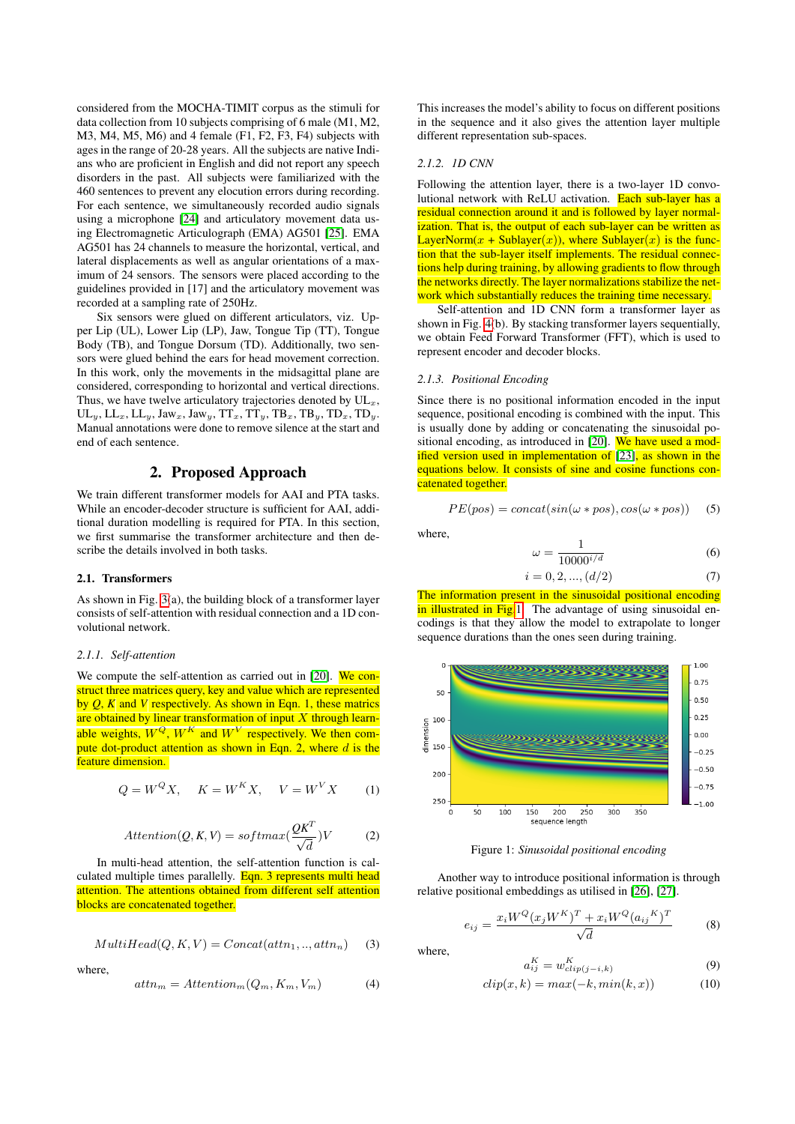considered from the MOCHA-TIMIT corpus as the stimuli for data collection from 10 subjects comprising of 6 male (M1, M2, M3, M4, M5, M6) and 4 female (F1, F2, F3, F4) subjects with ages in the range of 20-28 years. All the subjects are native Indians who are proficient in English and did not report any speech disorders in the past. All subjects were familiarized with the 460 sentences to prevent any elocution errors during recording. For each sentence, we simultaneously recorded audio signals using a microphone [\[24\]](#page-6-1) and articulatory movement data using Electromagnetic Articulograph (EMA) AG501 [\[25\]](#page-6-2). EMA AG501 has 24 channels to measure the horizontal, vertical, and lateral displacements as well as angular orientations of a maximum of 24 sensors. The sensors were placed according to the guidelines provided in [17] and the articulatory movement was recorded at a sampling rate of 250Hz.

Six sensors were glued on different articulators, viz. Upper Lip (UL), Lower Lip (LP), Jaw, Tongue Tip (TT), Tongue Body (TB), and Tongue Dorsum (TD). Additionally, two sensors were glued behind the ears for head movement correction. In this work, only the movements in the midsagittal plane are considered, corresponding to horizontal and vertical directions. Thus, we have twelve articulatory trajectories denoted by  $UL<sub>x</sub>$ ,  $UL_y, LL_x, LL_y, Jaw_x, Jaw_y, TT_x, TT_y, TB_x, TB_y, TD_x, TD_y.$ Manual annotations were done to remove silence at the start and end of each sentence.

## 2. Proposed Approach

We train different transformer models for AAI and PTA tasks. While an encoder-decoder structure is sufficient for AAI, additional duration modelling is required for PTA. In this section, we first summarise the transformer architecture and then describe the details involved in both tasks.

#### 2.1. Transformers

As shown in Fig. [3\(](#page-2-0)a), the building block of a transformer layer consists of self-attention with residual connection and a 1D convolutional network.

#### *2.1.1. Self-attention*

We compute the self-attention as carried out in [\[20\]](#page-5-19). We construct three matrices query, key and value which are represented by *Q*, *K* and *V* respectively. As shown in Eqn. 1, these matrics are obtained by linear transformation of input  $X$  through learnable weights,  $W^Q$ ,  $W^K$  and  $W^V$  respectively. We then compute dot-product attention as shown in Eqn. 2, where  $d$  is the feature dimension.

$$
Q = W^Q X, \quad K = W^K X, \quad V = W^V X \tag{1}
$$

$$
Attention(Q, K, V) = softmax(\frac{QK^{T}}{\sqrt{d}})V
$$
 (2)

In multi-head attention, the self-attention function is calculated multiple times parallelly. Eqn. 3 represents multi head attention. The attentions obtained from different self attention blocks are concatenated together.

$$
MultiHead(Q, K, V) = Concat(attn_1, ..., attn_n)
$$
 (3)

where,

$$
attn_m = Attention_m(Q_m, K_m, V_m)
$$
 (4)

This increases the model's ability to focus on different positions in the sequence and it also gives the attention layer multiple different representation sub-spaces.

#### *2.1.2. 1D CNN*

Following the attention layer, there is a two-layer 1D convolutional network with ReLU activation. Each sub-layer has a residual connection around it and is followed by layer normalization. That is, the output of each sub-layer can be written as LayerNorm(x + Sublayer(x)), where Sublayer(x) is the function that the sub-layer itself implements. The residual connections help during training, by allowing gradients to flow through the networks directly. The layer normalizations stabilize the network which substantially reduces the training time necessary.

Self-attention and 1D CNN form a transformer layer as shown in Fig. [4\(](#page-3-0)b). By stacking transformer layers sequentially, we obtain Feed Forward Transformer (FFT), which is used to represent encoder and decoder blocks.

#### *2.1.3. Positional Encoding*

Since there is no positional information encoded in the input sequence, positional encoding is combined with the input. This is usually done by adding or concatenating the sinusoidal po-sitional encoding, as introduced in [\[20\]](#page-5-19). We have used a mod-ified version used in implementation of [\[23\]](#page-6-0), as shown in the equations below. It consists of sine and cosine functions concatenated together.

$$
PE(pos) = concat(sin(\omega * pos), cos(\omega * pos))
$$
 (5)

where,

$$
\omega = \frac{1}{10000^{i/d}}\tag{6}
$$

$$
i = 0, 2, ..., (d/2)
$$
 (7)

The information present in the sinusoidal positional encoding in illustrated in Fig[.1.](#page-1-0) The advantage of using sinusoidal encodings is that they allow the model to extrapolate to longer sequence durations than the ones seen during training.

<span id="page-1-0"></span>

Figure 1: *Sinusoidal positional encoding*

Another way to introduce positional information is through relative positional embeddings as utilised in [\[26\]](#page-6-3), [\[27\]](#page-6-4).

$$
e_{ij} = \frac{x_i W^Q(x_j W^K)^T + x_i W^Q(a_{ij}^K)^T}{\sqrt{d}} \tag{8}
$$

where,

$$
a_{ij}^K = w_{clip(j-i,k)}^K \tag{9}
$$

$$
clip(x, k) = max(-k, min(k, x))
$$
\n(10)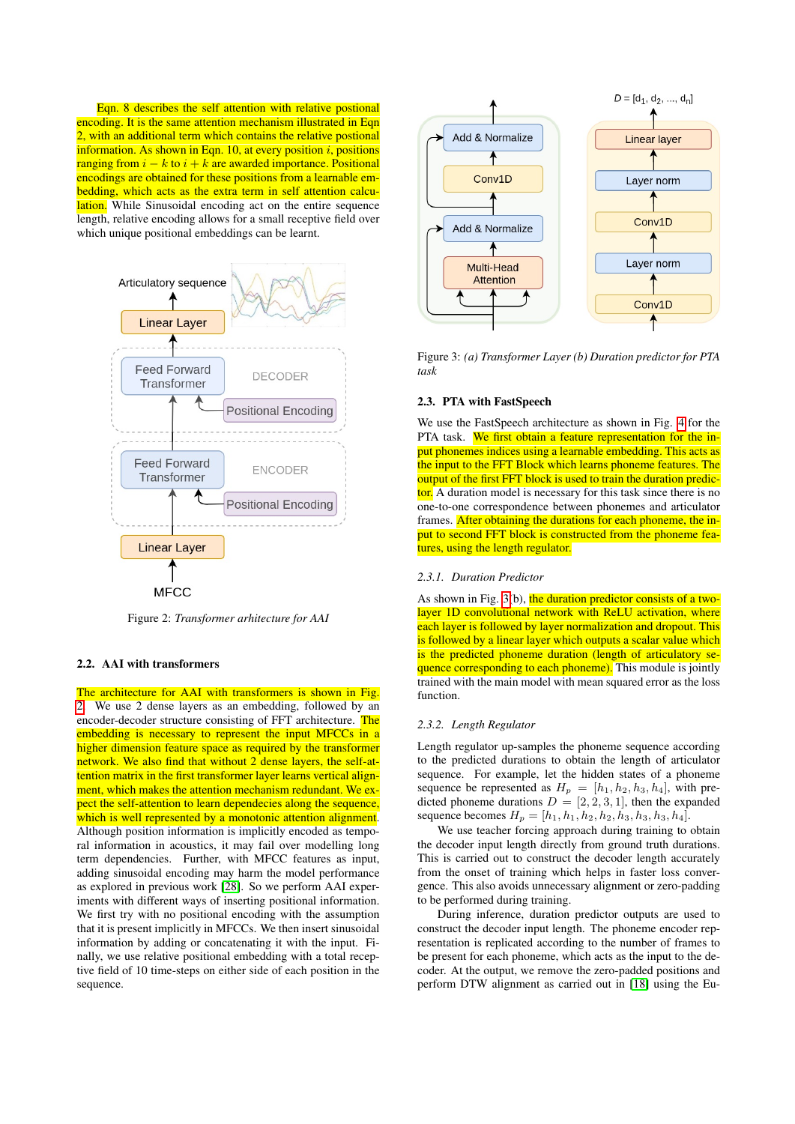Eqn. 8 describes the self attention with relative postional encoding. It is the same attention mechanism illustrated in Eqn 2, with an additional term which contains the relative postional information. As shown in Eqn. 10, at every position  $i$ , positions ranging from  $i - k$  to  $i + k$  are awarded importance. Positional encodings are obtained for these positions from a learnable embedding, which acts as the extra term in self attention calculation. While Sinusoidal encoding act on the entire sequence length, relative encoding allows for a small receptive field over which unique positional embeddings can be learnt.

<span id="page-2-1"></span>

Figure 2: *Transformer arhitecture for AAI*

## 2.2. AAI with transformers

The architecture for AAI with transformers is shown in Fig. [2.](#page-2-1) We use 2 dense layers as an embedding, followed by an encoder-decoder structure consisting of FFT architecture. The embedding is necessary to represent the input MFCCs in a higher dimension feature space as required by the transformer network. We also find that without 2 dense layers, the self-attention matrix in the first transformer layer learns vertical alignment, which makes the attention mechanism redundant. We expect the self-attention to learn dependecies along the sequence, which is well represented by a monotonic attention alignment. Although position information is implicitly encoded as temporal information in acoustics, it may fail over modelling long term dependencies. Further, with MFCC features as input, adding sinusoidal encoding may harm the model performance as explored in previous work [\[28\]](#page-6-5). So we perform AAI experiments with different ways of inserting positional information. We first try with no positional encoding with the assumption that it is present implicitly in MFCCs. We then insert sinusoidal information by adding or concatenating it with the input. Finally, we use relative positional embedding with a total receptive field of 10 time-steps on either side of each position in the sequence.

<span id="page-2-0"></span>

Figure 3: *(a) Transformer Layer (b) Duration predictor for PTA task*

#### 2.3. PTA with FastSpeech

We use the FastSpeech architecture as shown in Fig. [4](#page-3-0) for the PTA task. We first obtain a feature representation for the input phonemes indices using a learnable embedding. This acts as the input to the FFT Block which learns phoneme features. The output of the first FFT block is used to train the duration predictor. A duration model is necessary for this task since there is no one-to-one correspondence between phonemes and articulator frames. After obtaining the durations for each phoneme, the input to second FFT block is constructed from the phoneme features, using the length regulator.

### *2.3.1. Duration Predictor*

As shown in Fig. [3\(](#page-2-0)b), the duration predictor consists of a twolayer 1D convolutional network with ReLU activation, where each layer is followed by layer normalization and dropout. This is followed by a linear layer which outputs a scalar value which is the predicted phoneme duration (length of articulatory sequence corresponding to each phoneme). This module is jointly trained with the main model with mean squared error as the loss function.

#### *2.3.2. Length Regulator*

Length regulator up-samples the phoneme sequence according to the predicted durations to obtain the length of articulator sequence. For example, let the hidden states of a phoneme sequence be represented as  $H_p = [h_1, h_2, h_3, h_4]$ , with predicted phoneme durations  $D = [2, 2, 3, 1]$ , then the expanded sequence becomes  $H_p = [h_1, h_1, h_2, h_2, h_3, h_3, h_4].$ 

We use teacher forcing approach during training to obtain the decoder input length directly from ground truth durations. This is carried out to construct the decoder length accurately from the onset of training which helps in faster loss convergence. This also avoids unnecessary alignment or zero-padding to be performed during training.

During inference, duration predictor outputs are used to construct the decoder input length. The phoneme encoder representation is replicated according to the number of frames to be present for each phoneme, which acts as the input to the decoder. At the output, we remove the zero-padded positions and perform DTW alignment as carried out in [\[18\]](#page-5-17) using the Eu-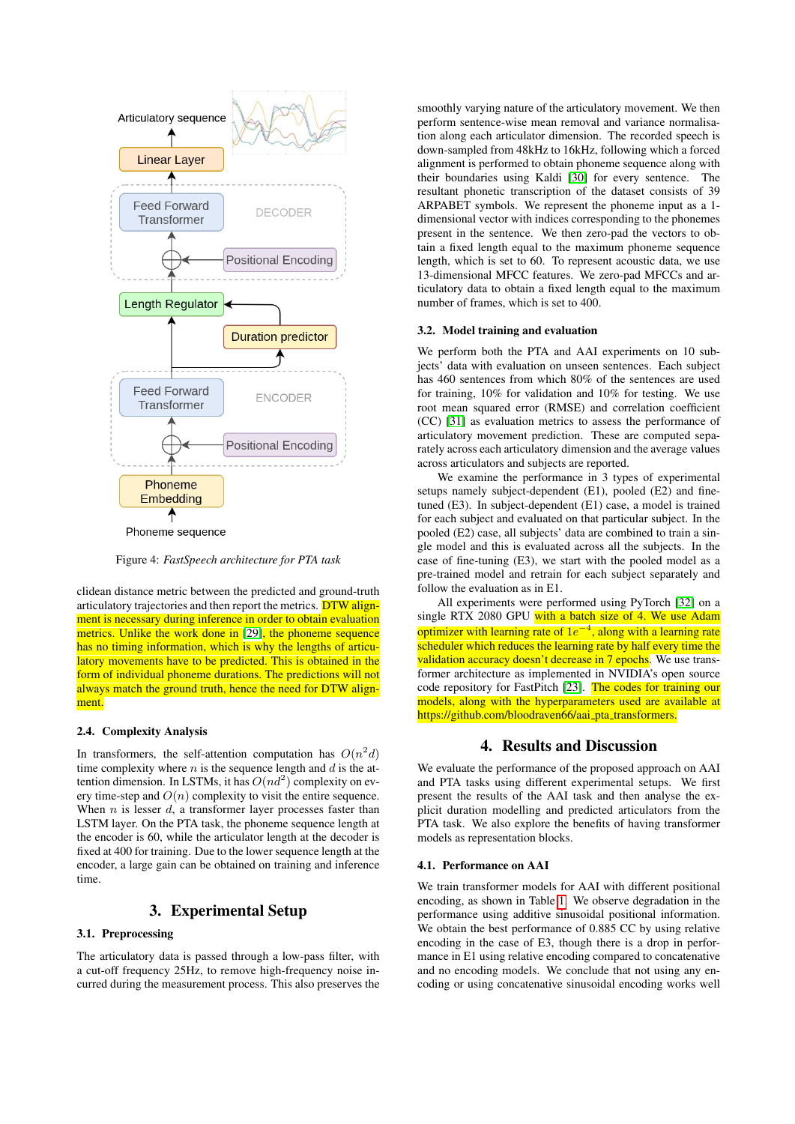<span id="page-3-0"></span>

Figure 4: *FastSpeech architecture for PTA task*

clidean distance metric between the predicted and ground-truth articulatory trajectories and then report the metrics. DTW alignment is necessary during inference in order to obtain evaluation metrics. Unlike the work done in [\[29\]](#page-6-6), the phoneme sequence has no timing information, which is why the lengths of articulatory movements have to be predicted. This is obtained in the form of individual phoneme durations. The predictions will not always match the ground truth, hence the need for DTW alignment.

#### 2.4. Complexity Analysis

In transformers, the self-attention computation has  $O(n^2d)$ time complexity where  $n$  is the sequence length and  $d$  is the attention dimension. In LSTMs, it has  $O(nd^2)$  complexity on every time-step and  $O(n)$  complexity to visit the entire sequence. When  $n$  is lesser  $d$ , a transformer layer processes faster than LSTM layer. On the PTA task, the phoneme sequence length at the encoder is 60, while the articulator length at the decoder is fixed at 400 for training. Due to the lower sequence length at the encoder, a large gain can be obtained on training and inference time.

# 3. Experimental Setup

# 3.1. Preprocessing

The articulatory data is passed through a low-pass filter, with a cut-off frequency 25Hz, to remove high-frequency noise incurred during the measurement process. This also preserves the smoothly varying nature of the articulatory movement. We then perform sentence-wise mean removal and variance normalisation along each articulator dimension. The recorded speech is down-sampled from 48kHz to 16kHz, following which a forced alignment is performed to obtain phoneme sequence along with their boundaries using Kaldi [\[30\]](#page-6-7) for every sentence. The resultant phonetic transcription of the dataset consists of 39 ARPABET symbols. We represent the phoneme input as a 1 dimensional vector with indices corresponding to the phonemes present in the sentence. We then zero-pad the vectors to obtain a fixed length equal to the maximum phoneme sequence length, which is set to 60. To represent acoustic data, we use 13-dimensional MFCC features. We zero-pad MFCCs and articulatory data to obtain a fixed length equal to the maximum number of frames, which is set to 400.

#### 3.2. Model training and evaluation

We perform both the PTA and AAI experiments on 10 subjects' data with evaluation on unseen sentences. Each subject has 460 sentences from which 80% of the sentences are used for training, 10% for validation and 10% for testing. We use root mean squared error (RMSE) and correlation coefficient (CC) [\[31\]](#page-6-8) as evaluation metrics to assess the performance of articulatory movement prediction. These are computed separately across each articulatory dimension and the average values across articulators and subjects are reported.

We examine the performance in 3 types of experimental setups namely subject-dependent (E1), pooled (E2) and finetuned (E3). In subject-dependent (E1) case, a model is trained for each subject and evaluated on that particular subject. In the pooled (E2) case, all subjects' data are combined to train a single model and this is evaluated across all the subjects. In the case of fine-tuning (E3), we start with the pooled model as a pre-trained model and retrain for each subject separately and follow the evaluation as in E1.

All experiments were performed using PyTorch [\[32\]](#page-6-9) on a single RTX 2080 GPU with a batch size of 4. We use Adam optimizer with learning rate of  $1e^{-4}$ , along with a learning rate scheduler which reduces the learning rate by half every time the validation accuracy doesn't decrease in 7 epochs. We use transformer architecture as implemented in NVIDIA's open source code repository for FastPitch [\[23\]](#page-6-0). The codes for training our models, along with the hyperparameters used are available at https://github.com/bloodraven66/aai\_pta\_transformers.

## 4. Results and Discussion

We evaluate the performance of the proposed approach on AAI and PTA tasks using different experimental setups. We first present the results of the AAI task and then analyse the explicit duration modelling and predicted articulators from the PTA task. We also explore the benefits of having transformer models as representation blocks.

#### 4.1. Performance on AAI

We train transformer models for AAI with different positional encoding, as shown in Table [1.](#page-4-0) We observe degradation in the performance using additive sinusoidal positional information. We obtain the best performance of 0.885 CC by using relative encoding in the case of E3, though there is a drop in performance in E1 using relative encoding compared to concatenative and no encoding models. We conclude that not using any encoding or using concatenative sinusoidal encoding works well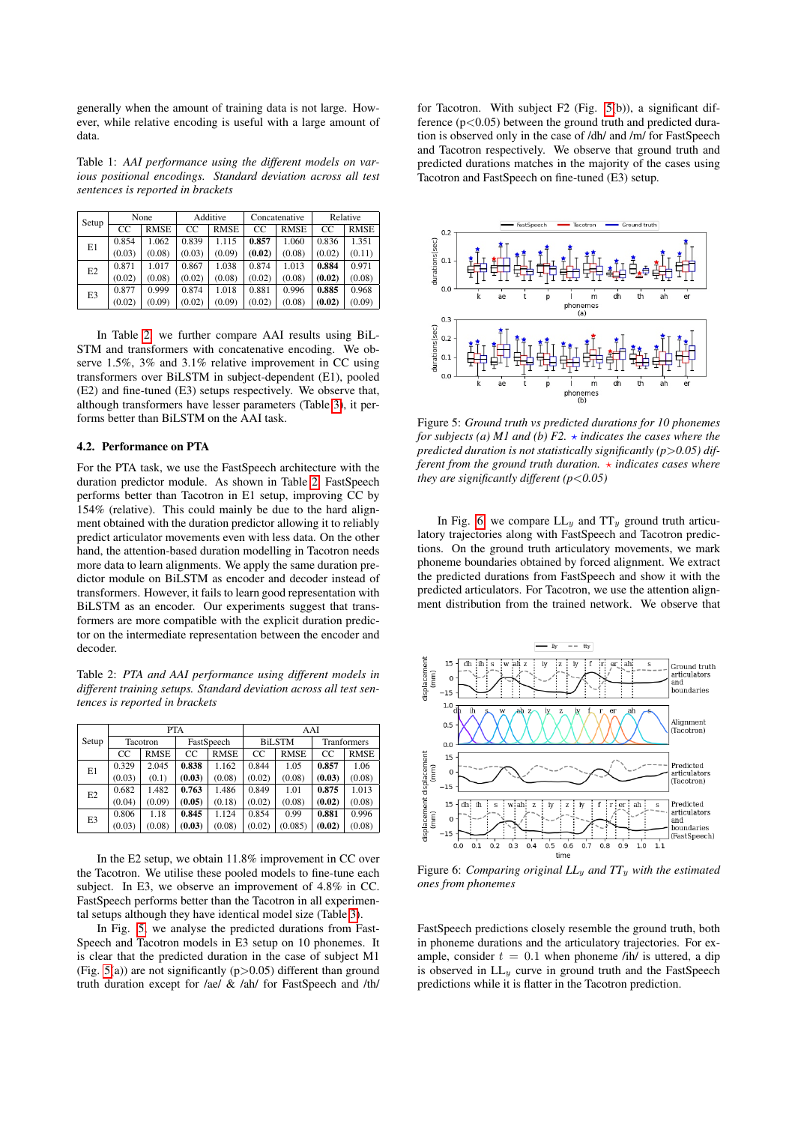generally when the amount of training data is not large. However, while relative encoding is useful with a large amount of data.

<span id="page-4-0"></span>Table 1: *AAI performance using the different models on various positional encodings. Standard deviation across all test sentences is reported in brackets*

| Setup          | None   |             | Additive |             | Concatenative |             | Relative |             |
|----------------|--------|-------------|----------|-------------|---------------|-------------|----------|-------------|
|                | CC     | <b>RMSE</b> | CC       | <b>RMSE</b> | CC            | <b>RMSE</b> | CC       | <b>RMSE</b> |
| E1             | 0.854  | 1.062       | 0.839    | 1.115       | 0.857         | 1.060       | 0.836    | 1.351       |
|                | (0.03) | (0.08)      | (0.03)   | (0.09)      | (0.02)        | (0.08)      | (0.02)   | (0.11)      |
| E <sub>2</sub> | 0.871  | 1.017       | 0.867    | 1.038       | 0.874         | 1.013       | 0.884    | 0.971       |
|                | (0.02) | (0.08)      | (0.02)   | (0.08)      | (0.02)        | (0.08)      | (0.02)   | (0.08)      |
| E <sub>3</sub> | 0.877  | 0.999       | 0.874    | 1.018       | 0.881         | 0.996       | 0.885    | 0.968       |
|                | (0.02) | (0.09)      | (0.02)   | (0.09)      | (0.02)        | (0.08)      | (0.02)   | (0.09)      |

In Table [2,](#page-4-1) we further compare AAI results using BiL-STM and transformers with concatenative encoding. We observe 1.5%, 3% and 3.1% relative improvement in CC using transformers over BiLSTM in subject-dependent (E1), pooled (E2) and fine-tuned (E3) setups respectively. We observe that, although transformers have lesser parameters (Table [3\)](#page-5-22), it performs better than BiLSTM on the AAI task.

### 4.2. Performance on PTA

For the PTA task, we use the FastSpeech architecture with the duration predictor module. As shown in Table [2,](#page-4-1) FastSpeech performs better than Tacotron in E1 setup, improving CC by 154% (relative). This could mainly be due to the hard alignment obtained with the duration predictor allowing it to reliably predict articulator movements even with less data. On the other hand, the attention-based duration modelling in Tacotron needs more data to learn alignments. We apply the same duration predictor module on BiLSTM as encoder and decoder instead of transformers. However, it fails to learn good representation with BiLSTM as an encoder. Our experiments suggest that transformers are more compatible with the explicit duration predictor on the intermediate representation between the encoder and decoder.

<span id="page-4-1"></span>Table 2: *PTA and AAI performance using different models in different training setups. Standard deviation across all test sentences is reported in brackets*

| Setup          |          |             | <b>PTA</b> |             | AAI           |             |                    |             |  |
|----------------|----------|-------------|------------|-------------|---------------|-------------|--------------------|-------------|--|
|                | Tacotron |             | FastSpeech |             | <b>BiLSTM</b> |             | <b>Tranformers</b> |             |  |
|                | CC       | <b>RMSE</b> | CC.        | <b>RMSE</b> | <sub>CC</sub> | <b>RMSE</b> | CC.                | <b>RMSE</b> |  |
| E1             | 0.329    | 2.045       | 0.838      | 1.162       | 0.844         | 1.05        | 0.857              | 1.06        |  |
|                | (0.03)   | (0.1)       | (0.03)     | (0.08)      | (0.02)        | (0.08)      | (0.03)             | (0.08)      |  |
| E2             | 0.682    | 1.482       | 0.763      | 1.486       | 0.849         | 1.01        | 0.875              | 1.013       |  |
|                | (0.04)   | (0.09)      | (0.05)     | (0.18)      | (0.02)        | (0.08)      | (0.02)             | (0.08)      |  |
| E <sub>3</sub> | 0.806    | 1.18        | 0.845      | 1.124       | 0.854         | 0.99        | 0.881              | 0.996       |  |
|                | (0.03)   | (0.08)      | (0.03)     | (0.08)      | (0.02)        | (0.085)     | (0.02)             | (0.08)      |  |

In the E2 setup, we obtain 11.8% improvement in CC over the Tacotron. We utilise these pooled models to fine-tune each subject. In E3, we observe an improvement of 4.8% in CC. FastSpeech performs better than the Tacotron in all experimental setups although they have identical model size (Table [3\)](#page-5-22).

In Fig. [5,](#page-4-2) we analyse the predicted durations from Fast-Speech and Tacotron models in E3 setup on 10 phonemes. It is clear that the predicted duration in the case of subject M1 (Fig.  $5(a)$ ) are not significantly ( $p > 0.05$ ) different than ground truth duration except for /ae/ & /ah/ for FastSpeech and /th/ for Tacotron. With subject F2 (Fig. [5\(](#page-4-2)b)), a significant difference  $(p<0.05)$  between the ground truth and predicted duration is observed only in the case of /dh/ and /m/ for FastSpeech and Tacotron respectively. We observe that ground truth and predicted durations matches in the majority of the cases using Tacotron and FastSpeech on fine-tuned (E3) setup.

<span id="page-4-2"></span>

Figure 5: *Ground truth vs predicted durations for 10 phonemes for subjects (a) M1 and (b) F2.*  $\star$  *indicates the cases where the* predicted duration is not statistically significantly (p>0.05) dif*ferent from the ground truth duration.*  $\star$  *indicates cases where they are significantly different (p*<*0.05)*

In Fig. [6,](#page-4-3) we compare  $LL_y$  and  $TT_y$  ground truth articulatory trajectories along with FastSpeech and Tacotron predictions. On the ground truth articulatory movements, we mark phoneme boundaries obtained by forced alignment. We extract the predicted durations from FastSpeech and show it with the predicted articulators. For Tacotron, we use the attention alignment distribution from the trained network. We observe that

<span id="page-4-3"></span>

Figure 6: *Comparing original LL*<sup>y</sup> *and TT*<sup>y</sup> *with the estimated ones from phonemes*

FastSpeech predictions closely resemble the ground truth, both in phoneme durations and the articulatory trajectories. For example, consider  $t = 0.1$  when phoneme /ih/ is uttered, a dip is observed in  $LL_y$  curve in ground truth and the FastSpeech predictions while it is flatter in the Tacotron prediction.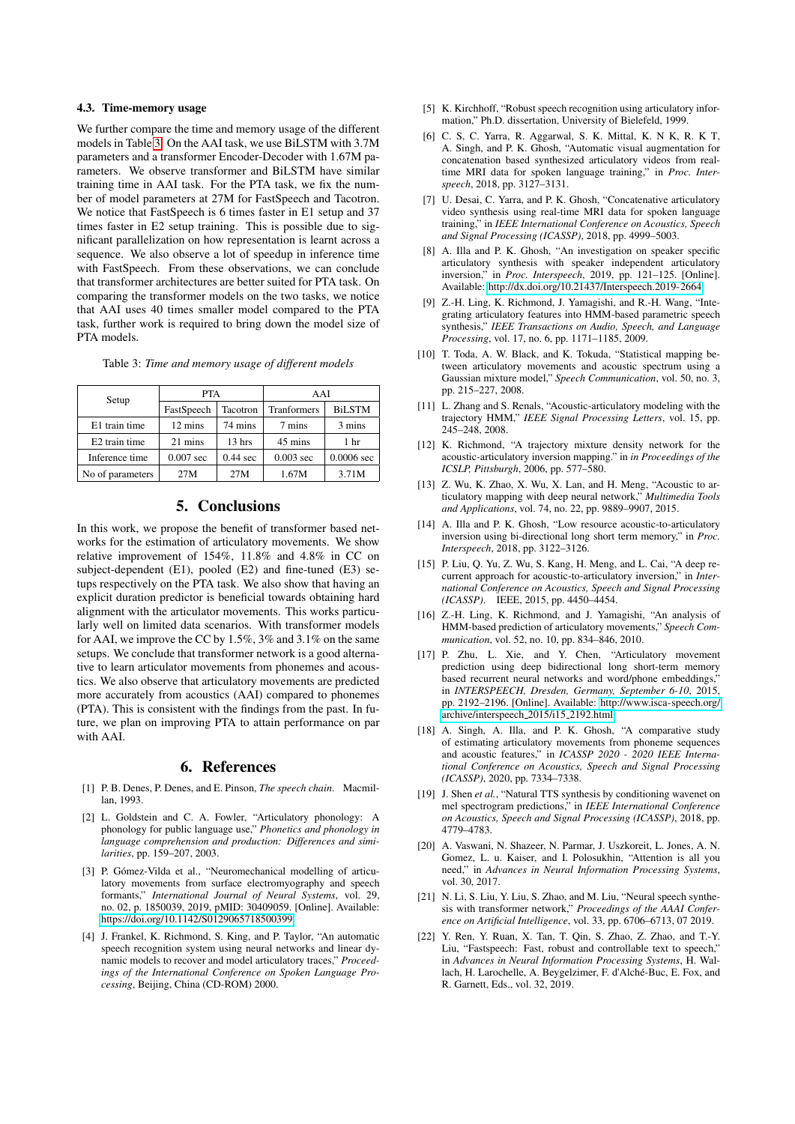## 4.3. Time-memory usage

We further compare the time and memory usage of the different models in Table [3.](#page-5-22) On the AAI task, we use BiLSTM with 3.7M parameters and a transformer Encoder-Decoder with 1.67M parameters. We observe transformer and BiLSTM have similar training time in AAI task. For the PTA task, we fix the number of model parameters at 27M for FastSpeech and Tacotron. We notice that FastSpeech is 6 times faster in E1 setup and 37 times faster in E2 setup training. This is possible due to significant parallelization on how representation is learnt across a sequence. We also observe a lot of speedup in inference time with FastSpeech. From these observations, we can conclude that transformer architectures are better suited for PTA task. On comparing the transformer models on the two tasks, we notice that AAI uses 40 times smaller model compared to the PTA task, further work is required to bring down the model size of PTA models.

<span id="page-5-22"></span>

|  |  |  |  |  |  | Table 3: Time and memory usage of different models |  |
|--|--|--|--|--|--|----------------------------------------------------|--|
|--|--|--|--|--|--|----------------------------------------------------|--|

| Setup            | <b>PTA</b>  |                  | AAI                |                 |  |
|------------------|-------------|------------------|--------------------|-----------------|--|
|                  | FastSpeech  | Tacotron         | <b>Tranformers</b> | <b>BiLSTM</b>   |  |
| E1 train time    | 12 mins     | 74 mins          |                    | 3 mins          |  |
| E2 train time    | 21 mins     | $13 \text{ hrs}$ | 45 mins            | 1 <sub>hr</sub> |  |
| Inference time   | $0.007$ sec | $0.44$ sec       | $0.003$ sec        | $0.0006$ sec    |  |
| No of parameters | 27M         | 27M              | 1.67M              | 3.71M           |  |

# 5. Conclusions

In this work, we propose the benefit of transformer based networks for the estimation of articulatory movements. We show relative improvement of 154%, 11.8% and 4.8% in CC on subject-dependent (E1), pooled (E2) and fine-tuned (E3) setups respectively on the PTA task. We also show that having an explicit duration predictor is beneficial towards obtaining hard alignment with the articulator movements. This works particularly well on limited data scenarios. With transformer models for AAI, we improve the CC by 1.5%, 3% and 3.1% on the same setups. We conclude that transformer network is a good alternative to learn articulator movements from phonemes and acoustics. We also observe that articulatory movements are predicted more accurately from acoustics (AAI) compared to phonemes (PTA). This is consistent with the findings from the past. In future, we plan on improving PTA to attain performance on par with AAI.

## 6. References

- <span id="page-5-0"></span>[1] P. B. Denes, P. Denes, and E. Pinson, *The speech chain*. Macmillan, 1993.
- <span id="page-5-1"></span>[2] L. Goldstein and C. A. Fowler, "Articulatory phonology: A phonology for public language use," *Phonetics and phonology in language comprehension and production: Differences and similarities*, pp. 159–207, 2003.
- <span id="page-5-2"></span>[3] P. Gómez-Vilda et al., "Neuromechanical modelling of articulatory movements from surface electromyography and speech formants," *International Journal of Neural Systems*, vol. 29, no. 02, p. 1850039, 2019, pMID: 30409059. [Online]. Available: <https://doi.org/10.1142/S0129065718500399>
- <span id="page-5-3"></span>[4] J. Frankel, K. Richmond, S. King, and P. Taylor, "An automatic speech recognition system using neural networks and linear dynamic models to recover and model articulatory traces," *Proceedings of the International Conference on Spoken Language Processing*, Beijing, China (CD-ROM) 2000.
- <span id="page-5-4"></span>[5] K. Kirchhoff, "Robust speech recognition using articulatory information," Ph.D. dissertation, University of Bielefeld, 1999.
- <span id="page-5-5"></span>[6] C. S, C. Yarra, R. Aggarwal, S. K. Mittal, K. N K, R. K T, A. Singh, and P. K. Ghosh, "Automatic visual augmentation for concatenation based synthesized articulatory videos from realtime MRI data for spoken language training," in *Proc. Interspeech*, 2018, pp. 3127–3131.
- <span id="page-5-6"></span>[7] U. Desai, C. Yarra, and P. K. Ghosh, "Concatenative articulatory video synthesis using real-time MRI data for spoken language training," in *IEEE International Conference on Acoustics, Speech and Signal Processing (ICASSP)*, 2018, pp. 4999–5003.
- <span id="page-5-7"></span>[8] A. Illa and P. K. Ghosh, "An investigation on speaker specific articulatory synthesis with speaker independent articulatory inversion," in *Proc. Interspeech*, 2019, pp. 121–125. [Online]. Available:<http://dx.doi.org/10.21437/Interspeech.2019-2664>
- <span id="page-5-8"></span>[9] Z.-H. Ling, K. Richmond, J. Yamagishi, and R.-H. Wang, "Integrating articulatory features into HMM-based parametric speech synthesis," *IEEE Transactions on Audio, Speech, and Language Processing*, vol. 17, no. 6, pp. 1171–1185, 2009.
- <span id="page-5-9"></span>[10] T. Toda, A. W. Black, and K. Tokuda, "Statistical mapping between articulatory movements and acoustic spectrum using a Gaussian mixture model," *Speech Communication*, vol. 50, no. 3, pp. 215–227, 2008.
- <span id="page-5-10"></span>[11] L. Zhang and S. Renals, "Acoustic-articulatory modeling with the trajectory HMM," *IEEE Signal Processing Letters*, vol. 15, pp. 245–248, 2008.
- <span id="page-5-11"></span>[12] K. Richmond, "A trajectory mixture density network for the acoustic-articulatory inversion mapping." in *in Proceedings of the ICSLP, Pittsburgh*, 2006, pp. 577–580.
- <span id="page-5-12"></span>[13] Z. Wu, K. Zhao, X. Wu, X. Lan, and H. Meng, "Acoustic to articulatory mapping with deep neural network," *Multimedia Tools and Applications*, vol. 74, no. 22, pp. 9889–9907, 2015.
- <span id="page-5-13"></span>[14] A. Illa and P. K. Ghosh, "Low resource acoustic-to-articulatory inversion using bi-directional long short term memory," in *Proc. Interspeech*, 2018, pp. 3122–3126.
- <span id="page-5-14"></span>[15] P. Liu, Q. Yu, Z. Wu, S. Kang, H. Meng, and L. Cai, "A deep recurrent approach for acoustic-to-articulatory inversion," in *International Conference on Acoustics, Speech and Signal Processing (ICASSP)*. IEEE, 2015, pp. 4450–4454.
- <span id="page-5-15"></span>[16] Z.-H. Ling, K. Richmond, and J. Yamagishi, "An analysis of HMM-based prediction of articulatory movements," *Speech Communication*, vol. 52, no. 10, pp. 834–846, 2010.
- <span id="page-5-16"></span>[17] P. Zhu, L. Xie, and Y. Chen, "Articulatory movement prediction using deep bidirectional long short-term memory based recurrent neural networks and word/phone embeddings. in *INTERSPEECH, Dresden, Germany, September 6-10*, 2015, pp. 2192–2196. [Online]. Available: [http://www.isca-speech.org/](http://www.isca-speech.org/archive/interspeech_2015/i15_2192.html) [archive/interspeech](http://www.isca-speech.org/archive/interspeech_2015/i15_2192.html) 2015/i15 2192.html
- <span id="page-5-17"></span>[18] A. Singh, A. Illa, and P. K. Ghosh, "A comparative study of estimating articulatory movements from phoneme sequences and acoustic features," in *ICASSP 2020 - 2020 IEEE International Conference on Acoustics, Speech and Signal Processing (ICASSP)*, 2020, pp. 7334–7338.
- <span id="page-5-18"></span>[19] J. Shen *et al.*, "Natural TTS synthesis by conditioning wavenet on mel spectrogram predictions," in *IEEE International Conference on Acoustics, Speech and Signal Processing (ICASSP)*, 2018, pp. 4779–4783.
- <span id="page-5-19"></span>[20] A. Vaswani, N. Shazeer, N. Parmar, J. Uszkoreit, L. Jones, A. N. Gomez, L. u. Kaiser, and I. Polosukhin, "Attention is all you need," in *Advances in Neural Information Processing Systems*, vol. 30, 2017.
- <span id="page-5-20"></span>[21] N. Li, S. Liu, Y. Liu, S. Zhao, and M. Liu, "Neural speech synthesis with transformer network," *Proceedings of the AAAI Conference on Artificial Intelligence*, vol. 33, pp. 6706–6713, 07 2019.
- <span id="page-5-21"></span>[22] Y. Ren, Y. Ruan, X. Tan, T. Qin, S. Zhao, Z. Zhao, and T.-Y. Liu, "Fastspeech: Fast, robust and controllable text to speech," in *Advances in Neural Information Processing Systems*, H. Wallach, H. Larochelle, A. Beygelzimer, F. d'Alché-Buc, E. Fox, and R. Garnett, Eds., vol. 32, 2019.